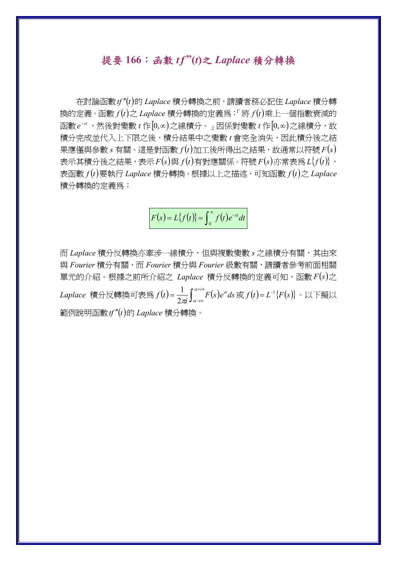## 提要 **166**:函數 *tf* **"(***t***)**之 *Laplace* 積分轉換

 在討論函數*tf t* 的 *Laplace* 積分轉換之前,請讀者務必記住 *Laplace* 積分轉 換的定義。函數 $f(t)$ 之 $L$ aplace 積分轉換的定義為:「將 $f(t)$ 乘上一個指數衰減的 函數  $e^{-st}$ , 然後對變數  $t$  作 $[0, \infty)$ 之線積分。」因係對變數  $t$  作 $[0, \infty)$ 之線積分,故 積分完成並代入上下限之後,積分結果中之變數 *t* 會完全消失,因此積分後之結  $\#$ 應僅與參數  $s$  有關。這是對函數  $f(t)$ 加工後所得出之結果,故通常以符號  $F(s)$ 表示其積分後之結果,表示  $F(s)$ 與  $f(t)$ 有對應關係。符號  $F(s)$ 亦常表爲  $L\{f(t)\}\;$ 表函數  $f(t)$ 要執行 *Laplace* 積分轉換。根據以上之描述,可知函數  $f(t)$ 之 *Laplace* 積分轉換的定義為:

$$
F(s) = L{f(t)} = \int_0^\infty f(t)e^{-st}dt
$$

而 *Laplace* 積分反轉換亦牽涉一線積分,但與複數變數 *s* 之線積分有關,其由來 與 *Fourier* 積分有關,而 *Fourier* 積分與 *Fourier* 級數有關,請讀者參考前面相關 單元的介紹。根據之前所介紹之 Laplace 積分反轉換的定義可知,函數  $F(s)$ 之 *Laplace* 積分反轉換可表為 $f(t)$ = $\frac{1}{2\pi}\!\int_{\alpha-i\infty}^{\alpha+i\infty}\!\!F(s)$  $f(t) = \frac{1}{2\pi i} \int_{\alpha - i\infty}^{\alpha + i\infty} F(s) e^{st} ds$  $\frac{1}{\sqrt{2}} \int_0^a f^{i\alpha} F(s) e^{st} ds \, \mathbb{R} f(t) = L^{-1} \{ F(s) \} \cdot \mathbb{R}$ 下擬以 範例說明函數*tf t*的 *Laplace* 積分轉換。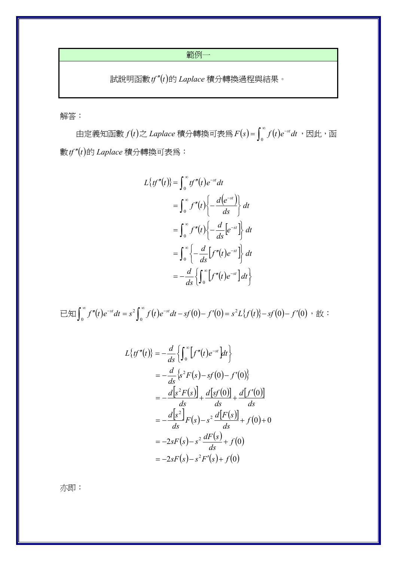範例一

 $\exists$  試說明函數 $f''(t)$ 的 *Laplace* 積分轉換過程與結果。

解答:

由定義知函數  $f(t)$ 之 Laplace 積分轉換可表為  $F(s)$ =  $\int_0^\infty f(t)e^{-st}dt$  ,因此,函 數*tf t* 的 *Laplace* 積分轉換可表為:

$$
L\{tf''(t)\} = \int_0^\infty tf''(t)e^{-st}dt
$$
  

$$
= \int_0^\infty f''(t)\left\{-\frac{d(e^{-st})}{ds}\right\}dt
$$
  

$$
= \int_0^\infty f''(t)\left\{-\frac{d}{ds}[e^{-st}]\right\}dt
$$
  

$$
= \int_0^\infty \left\{-\frac{d}{ds}[f''(t)e^{-st}]\right\}dt
$$
  

$$
= -\frac{d}{ds}\left\{\int_0^\infty [f''(t)e^{-st}]dt\right\}
$$

 $\exists \text{Im}\int_0^{\infty} f''(t)e^{-st}dt = s^2\int_0^{\infty} f(t)e^{-st}dt - sf(0) - f'(0) = s^2L\{f(t)\} - sf(0) - f'(0)$ 2  $\int_0^{\infty} f''(t)e^{-st}dt = s^2 \int_0^{\infty} f(t)e^{-st}dt - sf(0) - f'(0) = s^2L{f(t)} - sf(0) - f'(0)$ , 故:

$$
L{f''(t)} = -\frac{d}{ds} \left\{ \int_0^{\infty} [f''(t)e^{-st}] dt \right\}
$$
  
=  $-\frac{d}{ds} \left\{ s^2 F(s) - sf(0) - f'(0) \right\}$   
=  $-\frac{d[s^2 F(s)]}{ds} + \frac{d[sf(0)]}{ds} + \frac{d[f'(0)]}{ds}$   
=  $-\frac{d[s^2]}{ds} F(s) - s^2 \frac{d[F(s)]}{ds} + f(0) + 0$   
=  $-2sF(s) - s^2 \frac{dF(s)}{ds} + f(0)$   
=  $-2sF(s) - s^2F'(s) + f(0)$ 

亦即: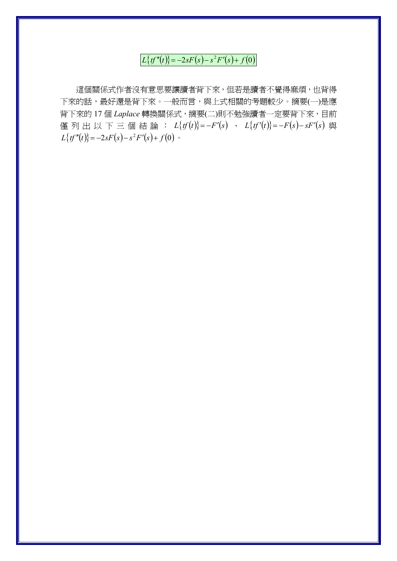$L{tf''(t)} = -2sF(s) - s^2F'(s) + f(0)$ 

這個關係式作者沒有意思要讓讀者背下來,但若是讀者不覺得麻煩,也背得 下來的話,最好還是背下來。一般而言,與上式相關的考題較少。摘要(一)是應 背下來的 17個 Laplace 轉換關係式, 摘要(二)則不勉強讀者一定要背下來, 目前 僅列出以下三個結論:  $L{f(t)} = -F'(s) - L{f(t')} = -F(s) - sF'(s)$ 與  $L{f''(t)} = -2sF(s) - s^2F'(s) + f(0)$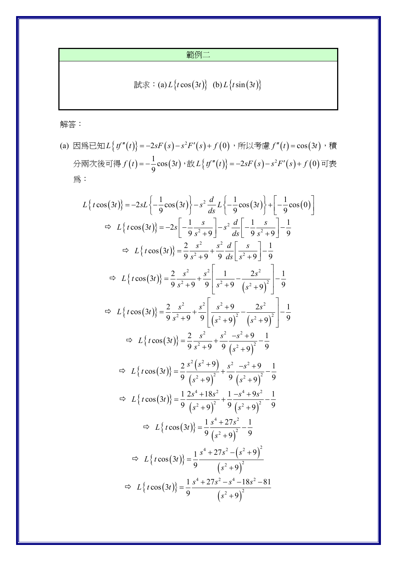範例二

$$
\exists \exists \exists \ddot{x} : (a) L \{ t \cos(3t) \} \quad (b) L \{ t \sin(3t) \}
$$

解答:

(a) 因為已知  $L\{tf''(t)\} = -2sF(s) - s^2F'(s) + f(0)$ , 所以考慮  $f''(t) = cos(3t)$ , 積 分兩次後可得  $f(t) = -\frac{1}{9}\cos(3t) \cdot \text{\textnormal{t}}\forall x L \{ tf''(t) \} = -2sF(s) - s^2F'(s) + f(0)$ 可表 為:

$$
L\{t\cos(3t)\} = -2sL\{-\frac{1}{9}\cos(3t)\}-s^{2}\frac{d}{ds}L\{-\frac{1}{9}\cos(3t)\} + \left[-\frac{1}{9}\cos(0)\right]
$$
  
\n
$$
\Rightarrow L\{t\cos(3t)\} = -2s\left[-\frac{1}{9}\frac{s}{s^{2}+9}\right]-s^{2}\frac{d}{ds}\left[-\frac{1}{9}\frac{s}{s^{2}+9}\right]-\frac{1}{9}
$$
  
\n
$$
\Rightarrow L\{t\cos(3t)\} = \frac{2}{9}\frac{s^{2}}{s^{2}+9} + \frac{s^{2}}{9}\frac{d}{ds}\left[\frac{s}{s^{2}+9}\right]-\frac{1}{9}
$$
  
\n
$$
\Rightarrow L\{t\cos(3t)\} = \frac{2}{9}\frac{s^{2}}{s^{2}+9} + \frac{s^{2}}{9}\left[\frac{1}{s^{2}+9} - \frac{2s^{2}}{(s^{2}+9)^{2}}\right]-\frac{1}{9}
$$
  
\n
$$
\Rightarrow L\{t\cos(3t)\} = \frac{2}{9}\frac{s^{2}}{s^{2}+9} + \frac{s^{2}}{9}\left[\frac{s^{2}+9}{(s^{2}+9)^{2}} - \frac{2s^{2}}{(s^{2}+9)^{2}}\right]-\frac{1}{9}
$$
  
\n
$$
\Rightarrow L\{t\cos(3t)\} = \frac{2}{9}\frac{s^{2}}{s^{2}+9} + \frac{s^{2}}{9}\frac{-s^{2}+9}{(s^{2}+9)^{2}} - \frac{1}{9}
$$
  
\n
$$
\Rightarrow L\{t\cos(3t)\} = \frac{2}{9}\frac{s^{2}(s^{2}+9)}{(s^{2}+9)^{2}} + \frac{s^{2}}{9}\frac{-s^{2}+9}{(s^{2}+9)^{2}} - \frac{1}{9}
$$
  
\n
$$
\Rightarrow L\{t\cos(3t)\} = \frac{1}{9}\frac{2s^{4}+18s^{2}}{(s^{2}+9)^{2}} + \frac{1}{9}\frac{-s^{4}+9s^{2}}{(s^{2}+9)^{2}} - \frac{1}{9}
$$
  
\n
$$
\Rightarrow L\{t\cos(3t)\} = \frac{1}{9}\frac{s^{4}+27s^{2}}{(s^{
$$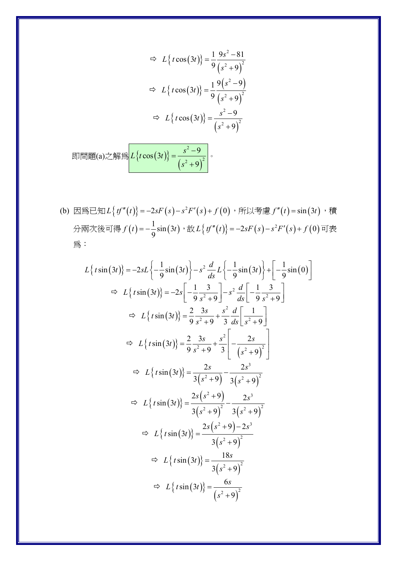$$
\Rightarrow L\left\{t\cos(3t)\right\} = \frac{1}{9} \frac{9s^2 - 81}{\left(s^2 + 9\right)^2}
$$

$$
\Rightarrow L\left\{t\cos(3t)\right\} = \frac{1}{9} \frac{9\left(s^2 - 9\right)}{\left(s^2 + 9\right)^2}
$$

$$
\Rightarrow L\left\{t\cos(3t)\right\} = \frac{s^2 - 9}{\left(s^2 + 9\right)^2}
$$

$$
\implies L\left\{t\cos(3t)\right\} = \frac{s^2 - 9}{\left(s^2 + 9\right)^2}
$$

(b) 因為已知  $L\{tf''(t)\} = -2sF(s) - s^2F'(s) + f(0)$ , 所以考慮  $f''(t) = \sin(3t)$ , 積 分兩次後可得 $f(t) = -\frac{1}{9}\sin(3t) \cdot \text{\textnormal{tr}}\,L\big\{ \text{\textnormal{t}} f''(t) \big\} = -2sF(s) - s^2F'(s) + f(0)$ 可表 為:

$$
L\{t\sin(3t)\} = -2sL\{-\frac{1}{9}\sin(3t)\}-s^2\frac{d}{ds}L\{-\frac{1}{9}\sin(3t)\} + \left[-\frac{1}{9}\sin(0)\right]
$$
  
\n
$$
\Rightarrow L\{t\sin(3t)\} = -2s\left[-\frac{1}{9}\frac{3}{s^2+9}\right] - s^2\frac{d}{ds}\left[-\frac{1}{9}\frac{3}{s^2+9}\right]
$$
  
\n
$$
\Rightarrow L\{t\sin(3t)\} = \frac{2}{9}\frac{3s}{s^2+9} + \frac{s^2}{3}\frac{d}{ds}\left[\frac{1}{s^2+9}\right]
$$
  
\n
$$
\Rightarrow L\{t\sin(3t)\} = \frac{2}{9}\frac{3s}{s^2+9} + \frac{s^2}{3}\left[-\frac{2s}{(s^2+9)^2}\right]
$$
  
\n
$$
\Rightarrow L\{t\sin(3t)\} = \frac{2s}{3(s^2+9)} - \frac{2s^3}{3(s^2+9)^2}
$$
  
\n
$$
\Rightarrow L\{t\sin(3t)\} = \frac{2s(s^2+9)}{3(s^2+9)^2} - \frac{2s^3}{3(s^2+9)^2}
$$
  
\n
$$
\Rightarrow L\{t\sin(3t)\} = \frac{2s(s^2+9) - 2s^3}{3(s^2+9)^2}
$$
  
\n
$$
\Rightarrow L\{t\sin(3t)\} = \frac{2s(s^2+9) - 2s^3}{3(s^2+9)^2}
$$
  
\n
$$
\Rightarrow L\{t\sin(3t)\} = \frac{18s}{3(s^2+9)^2}
$$
  
\n
$$
\Rightarrow L\{t\sin(3t)\} = \frac{6s}{(s^2+9)^2}
$$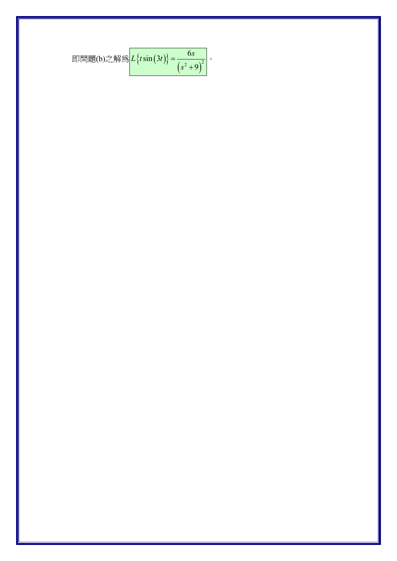$$
\text{{}^{\mathbb{R}}\mathbb{H}\mathbb{H}(\mathbf{b})\text{{}^{\mathbb{R}}}\mathbb{H}\mathbb{H}\left\{L\left\{t\sin(3t)\right\}=\frac{6s}{\left(s^2+9\right)^2}\right\}.
$$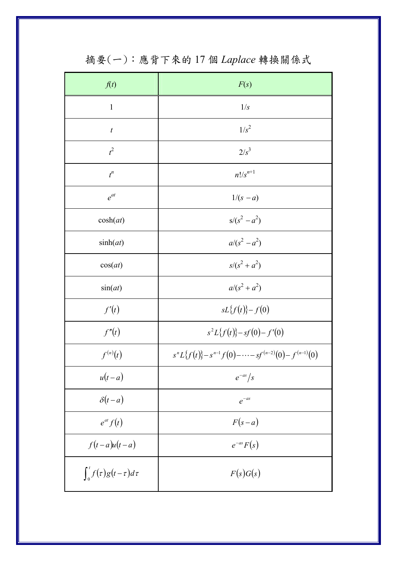| f(t)                             | F(s)                                                           |
|----------------------------------|----------------------------------------------------------------|
| $\mathbf{1}$                     | 1/s                                                            |
| $\boldsymbol{t}$                 | $1/s^2$                                                        |
| $t^2$                            | $2/s^3$                                                        |
| $t^n$                            | $n!/s^{n+1}$                                                   |
| $e^{at}$                         | $1/(s - a)$                                                    |
| cosh(at)                         | $s/(s^2 - a^2)$                                                |
| sinh(at)                         | $a/(s^2 - a^2)$                                                |
| cos(at)                          | $s/(s^2 + a^2)$                                                |
| sin(at)                          | $a/(s^2 + a^2)$                                                |
| f'(t)                            | $sL{f(t)}-f(0)$                                                |
| f''(t)                           | $s^2L{f(t)}-sf(0)-f'(0)$                                       |
| $f^{(n)}(t)$                     | $s^{n}L\{f(t)\}-s^{n-1}f(0)-\cdots-sf^{(n-2)}(0)-f^{(n-1)}(0)$ |
| $u(t-a)$                         | $e^{-as}/s$                                                    |
| $\delta(t-a)$                    | $e^{-as}$                                                      |
| $e^{at} f(t)$                    | $F(s-a)$                                                       |
| $f(t-a)u(t-a)$                   | $e^{-as}F(s)$                                                  |
| $\int_0^t f(\tau)g(t-\tau)d\tau$ | F(s)G(s)                                                       |

摘要(一):應背下來的17個 Laplace 轉換關係式